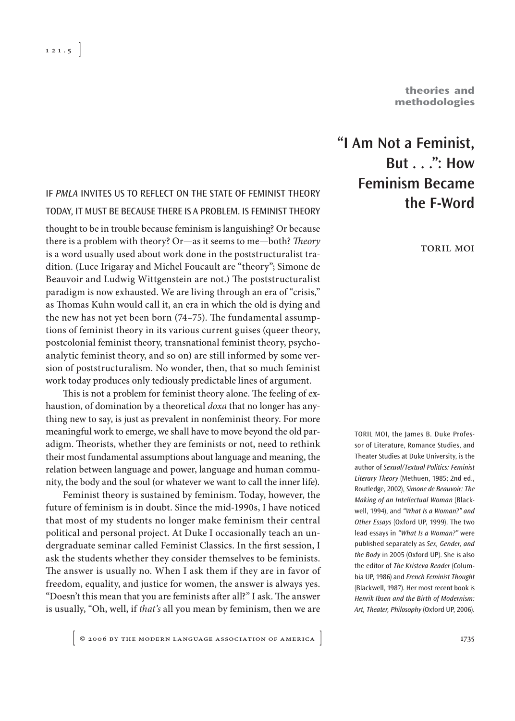$1 2 1 . 5$ 

**theories and methodologies**

# If *PMLA* invites us to reflect on the state of feminist theory today, it must be because there is a problem. Is feminist theory

thought to be in trouble because feminism is languishing? Or because there is a problem with theory? Or—as it seems to me—both? *Theory* is a word usually used about work done in the poststructuralist tradition. (Luce Irigaray and Michel Foucault are "theory"; Simone de Beauvoir and Ludwig Wittgenstein are not.) The poststructuralist paradigm is now exhausted. We are living through an era of "crisis," as Thomas Kuhn would call it, an era in which the old is dying and the new has not yet been born (74–75). The fundamental assumptions of feminist theory in its various current guises (queer theory, postcolonial feminist theory, transnational feminist theory, psychoanalytic feminist theory, and so on) are still informed by some version of poststructuralism. No wonder, then, that so much feminist work today produces only tediously predictable lines of argument.

This is not a problem for feminist theory alone. The feeling of exhaustion, of domination by a theoretical *doxa* that no longer has anything new to say, is just as prevalent in nonfeminist theory. For more meaningful work to emerge, we shall have to move beyond the old paradigm. Theorists, whether they are feminists or not, need to rethink their most fundamental assumptions about language and meaning, the relation between language and power, language and human community, the body and the soul (or whatever we want to call the inner life).

Feminist theory is sustained by feminism. Today, however, the future of feminism is in doubt. Since the mid-1990s, I have noticed that most of my students no longer make feminism their central political and personal project. At Duke I occasionally teach an undergraduate seminar called Feminist Classics. In the first session, I ask the students whether they consider themselves to be feminists. The answer is usually no. When I ask them if they are in favor of freedom, equality, and justice for women, the answer is always yes. "Doesn't this mean that you are feminists after all?" I ask. The answer is usually, "Oh, well, if *that's* all you mean by feminism, then we are

 $\boxed{\circ$  2006 by the modern language association of america  $\boxed{\qquad}$  1735

**"I Am Not a Feminist, But . . .": How Feminism Became the F-Word**

toril moi

TORIL MOI, the James B. Duke Professor of Literature, Romance Studies, and Theater Studies at Duke University, is the author of *Sexual/Textual Politics: Feminist Literary Theory* (Methuen, 1985; 2nd ed., Routledge, 2002), *Simone de Beauvoir: The Making of an Intellectual Woman* (Blackwell, 1994), and *"What Is a Woman?" and Other Essays* (Oxford UP, 1999). The two lead essays in *"What Is a Woman?"* were published separately as *Sex, Gender, and the Body* in 2005 (Oxford UP). She is also the editor of *The Kristeva Reader* (Columbia UP, 1986) and *French Feminist Thought* (Blackwell, 1987). Her most recent book is *Henrik Ibsen and the Birth of Modernism: Art, Theater, Philosophy* (Oxford UP, 2006).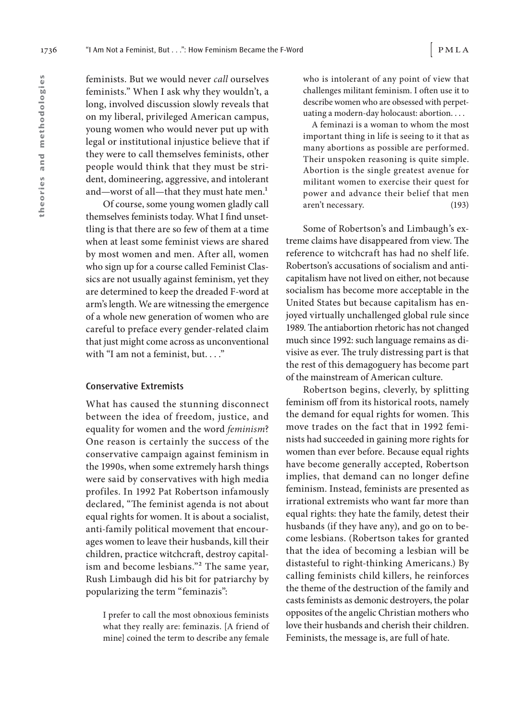feminists. But we would never *call* ourselves feminists." When I ask why they wouldn't, a long, involved discussion slowly reveals that on my liberal, privileged American campus, young women who would never put up with legal or institutional injustice believe that if they were to call themselves feminists, other people would think that they must be strident, domineering, aggressive, and intolerant and—worst of all—that they must hate men.<sup>1</sup>

Of course, some young women gladly call themselves feminists today. What I find unsettling is that there are so few of them at a time when at least some feminist views are shared by most women and men. After all, women who sign up for a course called Feminist Classics are not usually against feminism, yet they are determined to keep the dreaded F-word at arm's length. We are witnessing the emergence of a whole new generation of women who are careful to preface every gender-related claim that just might come across as unconventional with "I am not a feminist, but. . . ."

### **Conservative Extremists**

What has caused the stunning disconnect between the idea of freedom, justice, and equality for women and the word *feminism*? One reason is certainly the success of the conservative campaign against feminism in the 1990s, when some extremely harsh things were said by conservatives with high media profiles. In 1992 Pat Robertson infamously declared, "The feminist agenda is not about equal rights for women. It is about a socialist, anti-family political movement that encourages women to leave their husbands, kill their children, practice witchcraft, destroy capitalism and become lesbians."2 The same year, Rush Limbaugh did his bit for patriarchy by popularizing the term "feminazis":

I prefer to call the most obnoxious feminists what they really are: feminazis. [A friend of mine] coined the term to describe any female

who is intolerant of any point of view that challenges militant feminism. I often use it to describe women who are obsessed with perpetuating a modern-day holocaust: abortion. . . .

A feminazi is a woman to whom the most important thing in life is seeing to it that as many abortions as possible are performed. Their unspoken reasoning is quite simple. Abortion is the single greatest avenue for militant women to exercise their quest for power and advance their belief that men aren't necessary. (193)

Some of Robertson's and Limbaugh's extreme claims have disappeared from view. The reference to witchcraft has had no shelf life. Robertson's accusations of socialism and anticapitalism have not lived on either, not because socialism has become more acceptable in the United States but because capitalism has enjoyed virtually unchallenged global rule since 1989. The antiabortion rhetoric has not changed much since 1992: such language remains as divisive as ever. The truly distressing part is that the rest of this demagoguery has become part of the mainstream of American culture.

Robertson begins, cleverly, by splitting feminism off from its historical roots, namely the demand for equal rights for women. This move trades on the fact that in 1992 feminists had succeeded in gaining more rights for women than ever before. Because equal rights have become generally accepted, Robertson implies, that demand can no longer define feminism. Instead, feminists are presented as irrational extremists who want far more than equal rights: they hate the family, detest their husbands (if they have any), and go on to become lesbians. (Robertson takes for granted that the idea of becoming a lesbian will be distasteful to right-thinking Americans.) By calling feminists child killers, he reinforces the theme of the destruction of the family and casts feminists as demonic destroyers, the polar opposites of the angelic Christian mothers who love their husbands and cherish their children. Feminists, the message is, are full of hate.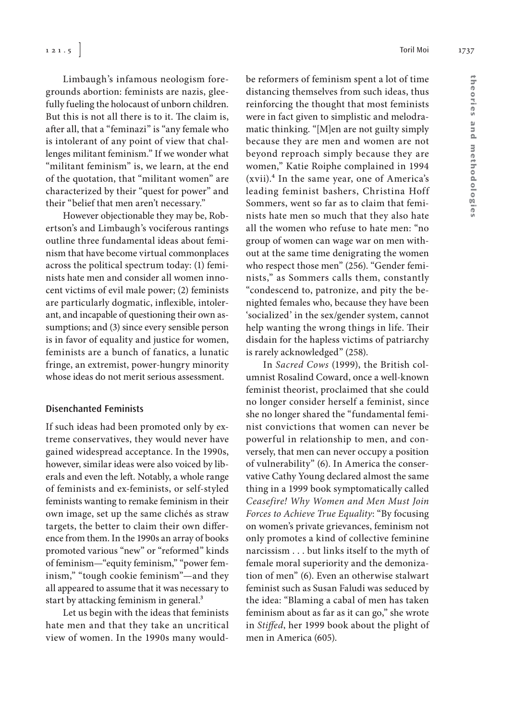Limbaugh's infamous neologism foregrounds abortion: feminists are nazis, gleefully fueling the holocaust of unborn children. But this is not all there is to it. The claim is, after all, that a "feminazi" is "any female who is intolerant of any point of view that challenges militant feminism." If we wonder what "militant feminism" is, we learn, at the end of the quotation, that "militant women" are characterized by their "quest for power" and their "belief that men aren't necessary."

However objectionable they may be, Robertson's and Limbaugh's vociferous rantings outline three fundamental ideas about feminism that have become virtual commonplaces across the political spectrum today: (1) feminists hate men and consider all women innocent victims of evil male power; (2) feminists are particularly dogmatic, inflexible, intolerant, and incapable of questioning their own assumptions; and (3) since every sensible person is in favor of equality and justice for women, feminists are a bunch of fanatics, a lunatic fringe, an extremist, power-hungry minority whose ideas do not merit serious assessment.

## **Disenchanted Feminists**

If such ideas had been promoted only by extreme conservatives, they would never have gained widespread acceptance. In the 1990s, however, similar ideas were also voiced by liberals and even the left. Notably, a whole range of feminists and ex-feminists, or self-styled feminists wanting to remake feminism in their own image, set up the same clichés as straw targets, the better to claim their own difference from them. In the 1990s an array of books promoted various "new" or "reformed" kinds of feminism—"equity feminism," "power feminism," "tough cookie feminism"—and they all appeared to assume that it was necessary to start by attacking feminism in general.<sup>3</sup>

Let us begin with the ideas that feminists hate men and that they take an uncritical view of women. In the 1990s many wouldbe reformers of feminism spent a lot of time distancing themselves from such ideas, thus reinforcing the thought that most feminists were in fact given to simplistic and melodramatic thinking. "[M]en are not guilty simply because they are men and women are not beyond reproach simply because they are women," Katie Roiphe complained in 1994 (xvii).4 In the same year, one of America's leading feminist bashers, Christina Hoff Sommers, went so far as to claim that feminists hate men so much that they also hate all the women who refuse to hate men: "no group of women can wage war on men without at the same time denigrating the women who respect those men" (256). "Gender feminists," as Sommers calls them, constantly "condescend to, patronize, and pity the benighted females who, because they have been 'socialized' in the sex/gender system, cannot help wanting the wrong things in life. Their disdain for the hapless victims of patriarchy is rarely acknowledged" (258).

In *Sacred Cows* (1999), the British columnist Rosalind Coward, once a well-known feminist theorist, proclaimed that she could no longer consider herself a feminist, since she no longer shared the "fundamental feminist convictions that women can never be powerful in relationship to men, and conversely, that men can never occupy a position of vulnerability" (6). In America the conservative Cathy Young declared almost the same thing in a 1999 book symptomatically called *Ceasefire! Why Women and Men Must Join Forces to Achieve True Equality*: "By focusing on women's private grievances, feminism not only promotes a kind of collective feminine narcissism . . . but links itself to the myth of female moral superiority and the demonization of men" (6). Even an otherwise stalwart feminist such as Susan Faludi was seduced by the idea: "Blaming a cabal of men has taken feminism about as far as it can go," she wrote in *Stiffed*, her 1999 book about the plight of men in America (605).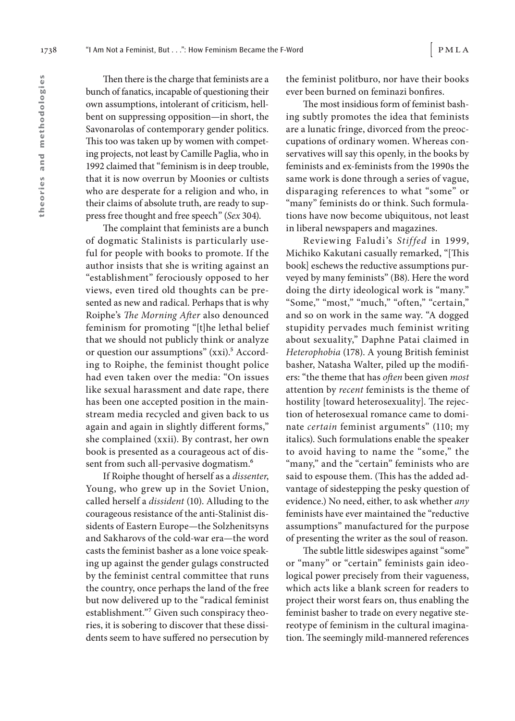Then there is the charge that feminists are a bunch of fanatics, incapable of questioning their own assumptions, intolerant of criticism, hellbent on suppressing opposition—in short, the Savonarolas of contemporary gender politics. This too was taken up by women with competing projects, not least by Camille Paglia, who in 1992 claimed that "feminism is in deep trouble, that it is now overrun by Moonies or cultists who are desperate for a religion and who, in their claims of absolute truth, are ready to suppress free thought and free speech" (*Sex* 304).

The complaint that feminists are a bunch of dogmatic Stalinists is particularly useful for people with books to promote. If the author insists that she is writing against an "establishment" ferociously opposed to her views, even tired old thoughts can be presented as new and radical. Perhaps that is why Roiphe's *The Morning After* also denounced feminism for promoting "[t]he lethal belief that we should not publicly think or analyze or question our assumptions"  $(xxi)$ .<sup>5</sup> According to Roiphe, the feminist thought police had even taken over the media: "On issues like sexual harassment and date rape, there has been one accepted position in the mainstream media recycled and given back to us again and again in slightly different forms," she complained (xxii). By contrast, her own book is presented as a courageous act of dissent from such all-pervasive dogmatism.<sup>6</sup>

If Roiphe thought of herself as a *dissenter*, Young, who grew up in the Soviet Union, called herself a *dissident* (10). Alluding to the courageous resistance of the anti-Stalinist dissidents of Eastern Europe—the Solzhenitsyns and Sakharovs of the cold-war era—the word casts the feminist basher as a lone voice speaking up against the gender gulags constructed by the feminist central committee that runs the country, once perhaps the land of the free but now delivered up to the "radical feminist establishment."<sup>7</sup> Given such conspiracy theories, it is sobering to discover that these dissidents seem to have suffered no persecution by the feminist politburo, nor have their books ever been burned on feminazi bonfires.

The most insidious form of feminist bashing subtly promotes the idea that feminists are a lunatic fringe, divorced from the preoccupations of ordinary women. Whereas conservatives will say this openly, in the books by feminists and ex-feminists from the 1990s the same work is done through a series of vague, disparaging references to what "some" or "many" feminists do or think. Such formulations have now become ubiquitous, not least in liberal newspapers and magazines.

Reviewing Faludi's *Stiffed* in 1999, Michiko Kakutani casually remarked, "[This book] eschews the reductive assumptions purveyed by many feminists" (B8). Here the word doing the dirty ideological work is "many." "Some," "most," "much," "often," "certain," and so on work in the same way. "A dogged stupidity pervades much feminist writing about sexuality," Daphne Patai claimed in *Heterophobia* (178). A young British feminist basher, Natasha Walter, piled up the modifiers: "the theme that has *often* been given *most* attention by *recent* feminists is the theme of hostility [toward heterosexuality]. The rejection of heterosexual romance came to dominate *certain* feminist arguments" (110; my italics). Such formulations enable the speaker to avoid having to name the "some," the "many," and the "certain" feminists who are said to espouse them. (This has the added advantage of sidestepping the pesky question of evidence.) No need, either, to ask whether *any* feminists have ever maintained the "reductive assumptions" manufactured for the purpose of presenting the writer as the soul of reason.

The subtle little sideswipes against "some" or "many" or "certain" feminists gain ideological power precisely from their vagueness, which acts like a blank screen for readers to project their worst fears on, thus enabling the feminist basher to trade on every negative stereotype of feminism in the cultural imagination. The seemingly mild-mannered references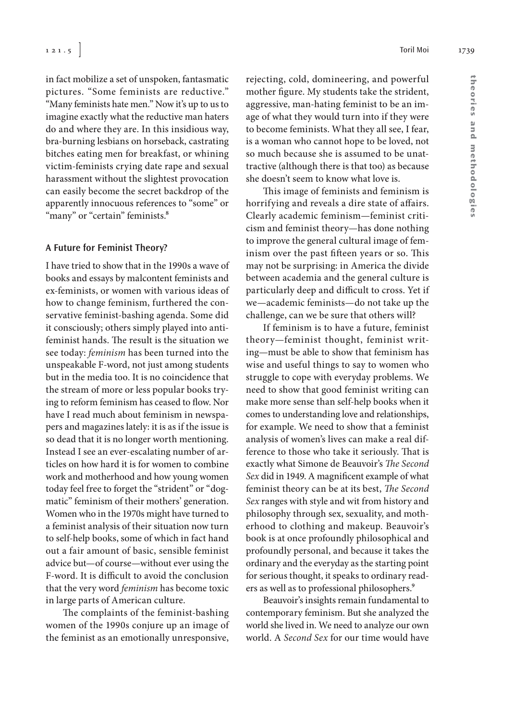in fact mobilize a set of unspoken, fantasmatic pictures. "Some feminists are reductive." "Many feminists hate men." Now it's up to us to imagine exactly what the reductive man haters do and where they are. In this insidious way, bra-burning lesbians on horseback, castrating bitches eating men for breakfast, or whining victim-feminists crying date rape and sexual harassment without the slightest provocation can easily become the secret backdrop of the apparently innocuous references to "some" or "many" or "certain" feminists.<sup>8</sup>

### **A Future for Feminist Theory?**

I have tried to show that in the 1990s a wave of books and essays by malcontent feminists and ex-feminists, or women with various ideas of how to change feminism, furthered the conservative feminist-bashing agenda. Some did it consciously; others simply played into antifeminist hands. The result is the situation we see today: *feminism* has been turned into the unspeakable F-word, not just among students but in the media too. It is no coincidence that the stream of more or less popular books trying to reform feminism has ceased to flow. Nor have I read much about feminism in newspapers and magazines lately: it is as if the issue is so dead that it is no longer worth mentioning. Instead I see an ever-escalating number of articles on how hard it is for women to combine work and motherhood and how young women today feel free to forget the "strident" or "dogmatic" feminism of their mothers' generation. Women who in the 1970s might have turned to a feminist analysis of their situation now turn to self-help books, some of which in fact hand out a fair amount of basic, sensible feminist advice but—of course—without ever using the F-word. It is difficult to avoid the conclusion that the very word *feminism* has become toxic in large parts of American culture.

The complaints of the feminist-bashing women of the 1990s conjure up an image of the feminist as an emotionally unresponsive,

rejecting, cold, domineering, and powerful mother figure. My students take the strident, aggressive, man-hating feminist to be an image of what they would turn into if they were to become feminists. What they all see, I fear, is a woman who cannot hope to be loved, not so much because she is assumed to be unattractive (although there is that too) as because she doesn't seem to know what love is.

This image of feminists and feminism is horrifying and reveals a dire state of affairs. Clearly academic feminism—feminist criticism and feminist theory—has done nothing to improve the general cultural image of feminism over the past fifteen years or so. This may not be surprising: in America the divide between academia and the general culture is particularly deep and difficult to cross. Yet if we—academic feminists—do not take up the challenge, can we be sure that others will?

If feminism is to have a future, feminist theory—feminist thought, feminist writing—must be able to show that feminism has wise and useful things to say to women who struggle to cope with everyday problems. We need to show that good feminist writing can make more sense than self-help books when it comes to understanding love and relationships, for example. We need to show that a feminist analysis of women's lives can make a real difference to those who take it seriously. That is exactly what Simone de Beauvoir's *The Second Sex* did in 1949. A magnificent example of what feminist theory can be at its best, *The Second Sex* ranges with style and wit from history and philosophy through sex, sexuality, and motherhood to clothing and makeup. Beauvoir's book is at once profoundly philosophical and profoundly personal, and because it takes the ordinary and the everyday as the starting point for serious thought, it speaks to ordinary readers as well as to professional philosophers.<sup>9</sup>

Beauvoir's insights remain fundamental to contemporary feminism. But she analyzed the world she lived in. We need to analyze our own world. A *Second Sex* for our time would have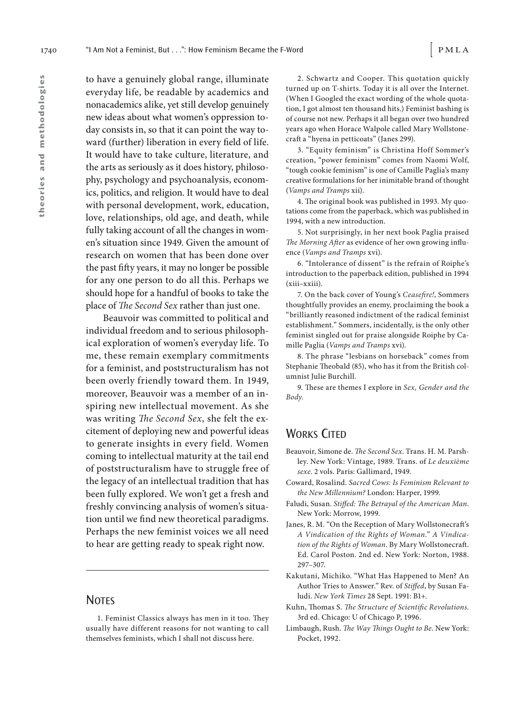to have a genuinely global range, illuminate everyday life, be readable by academics and nonacademics alike, yet still develop genuinely new ideas about what women's oppression today consists in, so that it can point the way toward (further) liberation in every field of life. It would have to take culture, literature, and the arts as seriously as it does history, philosophy, psychology and psychoanalysis, economics, politics, and religion. It would have to deal with personal development, work, education, love, relationships, old age, and death, while fully taking account of all the changes in women's situation since 1949. Given the amount of research on women that has been done over the past fifty years, it may no longer be possible for any one person to do all this. Perhaps we should hope for a handful of books to take the place of *The Second Sex* rather than just one.

Beauvoir was committed to political and individual freedom and to serious philosophical exploration of women's everyday life. To me, these remain exemplary commitments for a feminist, and poststructuralism has not been overly friendly toward them. In 1949, moreover, Beauvoir was a member of an inspiring new intellectual movement. As she was writing *The Second Sex*, she felt the excitement of deploying new and powerful ideas to generate insights in every field. Women coming to intellectual maturity at the tail end of poststructuralism have to struggle free of the legacy of an intellectual tradition that has been fully explored. We won't get a fresh and freshly convincing analysis of women's situation until we find new theoretical paradigms. Perhaps the new feminist voices we all need to hear are getting ready to speak right now.

## **NOTES**

2. Schwartz and Cooper. This quotation quickly turned up on T-shirts. Today it is all over the Internet. (When I Googled the exact wording of the whole quotation, I got almost ten thousand hits.) Feminist bashing is of course not new. Perhaps it all began over two hundred years ago when Horace Walpole called Mary Wollstonecraft a "hyena in petticoats" (Janes 299).

3. "Equity feminism" is Christina Hoff Sommer's creation, "power feminism" comes from Naomi Wolf, "tough cookie feminism" is one of Camille Paglia's many creative formulations for her inimitable brand of thought (*Vamps and Tramps* xii).

4. The original book was published in 1993. My quotations come from the paperback, which was published in 1994, with a new introduction.

5. Not surprisingly, in her next book Paglia praised *The Morning After* as evidence of her own growing influence (*Vamps and Tramps* xvi).

6. "Intolerance of dissent" is the refrain of Roiphe's introduction to the paperback edition, published in 1994 (xiii–xxiii).

7. On the back cover of Young's *Ceasefire!*, Sommers thoughtfully provides an enemy, proclaiming the book a "brilliantly reasoned indictment of the radical feminist establishment." Sommers, incidentally, is the only other feminist singled out for praise alongside Roiphe by Camille Paglia (*Vamps and Tramps* xvi).

8. The phrase "lesbians on horseback" comes from Stephanie Theobald (85), who has it from the British columnist Julie Burchill.

9. These are themes I explore in *Sex, Gender and the Body*.

# **WORKS CITED**

- Beauvoir, Simone de. *The Second Sex*. Trans. H. M. Parshley. New York: Vintage, 1989. Trans. of *Le deuxième sexe*. 2 vols. Paris: Gallimard, 1949.
- Coward, Rosalind. *Sacred Cows: Is Feminism Relevant to the New Millennium?* London: Harper, 1999.
- Faludi, Susan. *Stiffed: The Betrayal of the American Man*. New York: Morrow, 1999.
- Janes, R. M. "On the Reception of Mary Wollstonecraft's *A Vindication of the Rights of Woman*." *A Vindication of the Rights of Woman*. By Mary Wollstonecraft. Ed. Carol Poston. 2nd ed. New York: Norton, 1988. 297–307.
- Kakutani, Michiko. "What Has Happened to Men? An Author Tries to Answer." Rev. of *Stiffed*, by Susan Faludi. *New York Times* 28 Sept. 1991: B1+.
- Kuhn, Thomas S. *The Structure of Scientific Revolutions*. 3rd ed. Chicago: U of Chicago P, 1996.
- Limbaugh, Rush. *The Way Things Ought to Be*. New York: Pocket, 1992.

<sup>1.</sup> Feminist Classics always has men in it too. They usually have different reasons for not wanting to call themselves feminists, which I shall not discuss here.